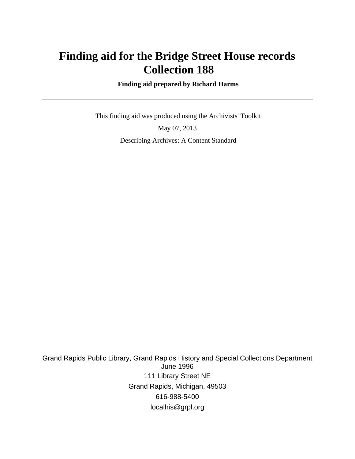# **Finding aid for the Bridge Street House records Collection 188**

 **Finding aid prepared by Richard Harms**

 This finding aid was produced using the Archivists' Toolkit May 07, 2013 Describing Archives: A Content Standard

Grand Rapids Public Library, Grand Rapids History and Special Collections Department June 1996 111 Library Street NE Grand Rapids, Michigan, 49503 616-988-5400 localhis@grpl.org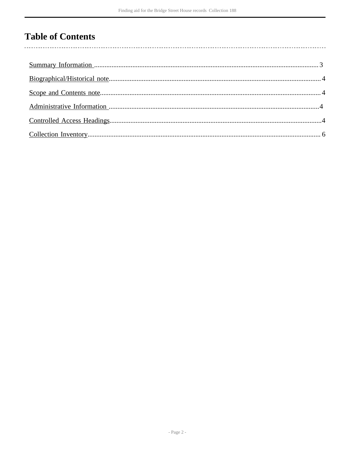# **Table of Contents**

l,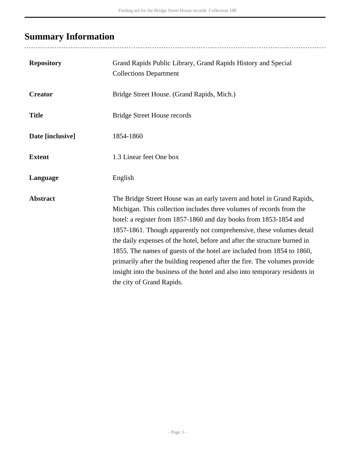# <span id="page-2-0"></span>**Summary Information**

...................................

| <b>Repository</b> | Grand Rapids Public Library, Grand Rapids History and Special<br><b>Collections Department</b>                                                                                                                                                                                                                                                                                                                                                                                                                                                                                                                                              |
|-------------------|---------------------------------------------------------------------------------------------------------------------------------------------------------------------------------------------------------------------------------------------------------------------------------------------------------------------------------------------------------------------------------------------------------------------------------------------------------------------------------------------------------------------------------------------------------------------------------------------------------------------------------------------|
| <b>Creator</b>    | Bridge Street House. (Grand Rapids, Mich.)                                                                                                                                                                                                                                                                                                                                                                                                                                                                                                                                                                                                  |
| <b>Title</b>      | <b>Bridge Street House records</b>                                                                                                                                                                                                                                                                                                                                                                                                                                                                                                                                                                                                          |
| Date [inclusive]  | 1854-1860                                                                                                                                                                                                                                                                                                                                                                                                                                                                                                                                                                                                                                   |
| <b>Extent</b>     | 1.3 Linear feet One box                                                                                                                                                                                                                                                                                                                                                                                                                                                                                                                                                                                                                     |
| Language          | English                                                                                                                                                                                                                                                                                                                                                                                                                                                                                                                                                                                                                                     |
| <b>Abstract</b>   | The Bridge Street House was an early tavern and hotel in Grand Rapids,<br>Michigan. This collection includes three volumes of records from the<br>hotel: a register from 1857-1860 and day books from 1853-1854 and<br>1857-1861. Though apparently not comprehensive, these volumes detail<br>the daily expenses of the hotel, before and after the structure burned in<br>1855. The names of guests of the hotel are included from 1854 to 1860,<br>primarily after the building reopened after the fire. The volumes provide<br>insight into the business of the hotel and also into temporary residents in<br>the city of Grand Rapids. |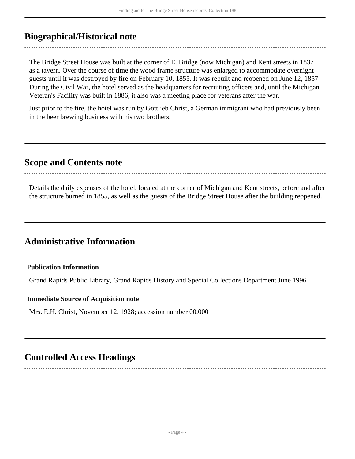# <span id="page-3-0"></span>**Biographical/Historical note**

The Bridge Street House was built at the corner of E. Bridge (now Michigan) and Kent streets in 1837 as a tavern. Over the course of time the wood frame structure was enlarged to accommodate overnight guests until it was destroyed by fire on February 10, 1855. It was rebuilt and reopened on June 12, 1857. During the Civil War, the hotel served as the headquarters for recruiting officers and, until the Michigan Veteran's Facility was built in 1886, it also was a meeting place for veterans after the war.

Just prior to the fire, the hotel was run by Gottlieb Christ, a German immigrant who had previously been in the beer brewing business with his two brothers.

## <span id="page-3-1"></span>**Scope and Contents note**

Details the daily expenses of the hotel, located at the corner of Michigan and Kent streets, before and after the structure burned in 1855, as well as the guests of the Bridge Street House after the building reopened.

## <span id="page-3-2"></span>**Administrative Information**

### **Publication Information**

Grand Rapids Public Library, Grand Rapids History and Special Collections Department June 1996

#### **Immediate Source of Acquisition note**

Mrs. E.H. Christ, November 12, 1928; accession number 00.000

## <span id="page-3-3"></span>**Controlled Access Headings**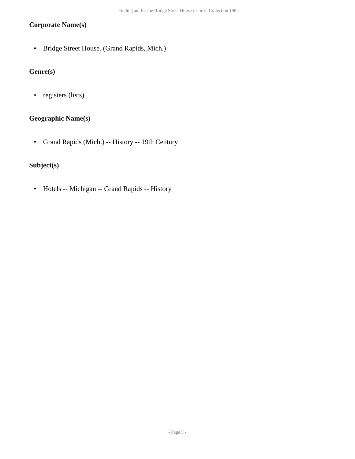### **Corporate Name(s)**

• Bridge Street House. (Grand Rapids, Mich.)

## **Genre(s)**

• registers (lists)

### **Geographic Name(s)**

• Grand Rapids (Mich.) -- History -- 19th Century

### **Subject(s)**

• Hotels -- Michigan -- Grand Rapids -- History